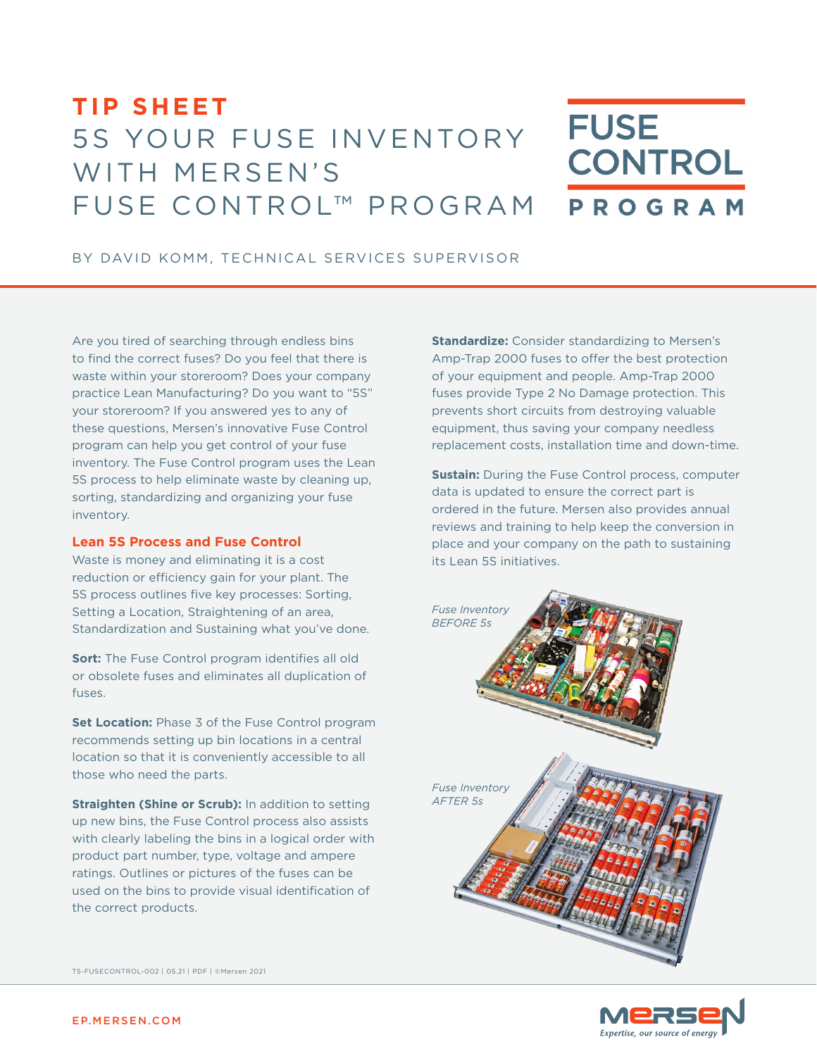## **TIP SHEET FUSE** 5S YOUR FUSE INVENTORY **CONTROL** WITH MERSEN'S FUSE CONTROL™ PROGRAM PROGRAM

## BY DAVID KOMM, TECHNICAL SERVICES SUPERVISOR

Are you tired of searching through endless bins to find the correct fuses? Do you feel that there is waste within your storeroom? Does your company practice Lean Manufacturing? Do you want to "5S" your storeroom? If you answered yes to any of these questions, Mersen's innovative Fuse Control program can help you get control of your fuse inventory. The Fuse Control program uses the Lean 5S process to help eliminate waste by cleaning up, sorting, standardizing and organizing your fuse inventory.

## **Lean 5S Process and Fuse Control**

Waste is money and eliminating it is a cost reduction or efficiency gain for your plant. The 5S process outlines five key processes: Sorting, Setting a Location, Straightening of an area, Standardization and Sustaining what you've done.

**Sort:** The Fuse Control program identifies all old or obsolete fuses and eliminates all duplication of fuses.

**Set Location:** Phase 3 of the Fuse Control program recommends setting up bin locations in a central location so that it is conveniently accessible to all those who need the parts.

**Straighten (Shine or Scrub):** In addition to setting up new bins, the Fuse Control process also assists with clearly labeling the bins in a logical order with product part number, type, voltage and ampere ratings. Outlines or pictures of the fuses can be used on the bins to provide visual identification of the correct products.

**Standardize:** Consider standardizing to Mersen's Amp-Trap 2000 fuses to offer the best protection of your equipment and people. Amp-Trap 2000 fuses provide Type 2 No Damage protection. This prevents short circuits from destroying valuable equipment, thus saving your company needless replacement costs, installation time and down-time.

**Sustain:** During the Fuse Control process, computer data is updated to ensure the correct part is ordered in the future. Mersen also provides annual reviews and training to help keep the conversion in place and your company on the path to sustaining its Lean 5S initiatives.





TS-FUSECONTROL-002 | 05.21 | PDF | ©Mersen 2021